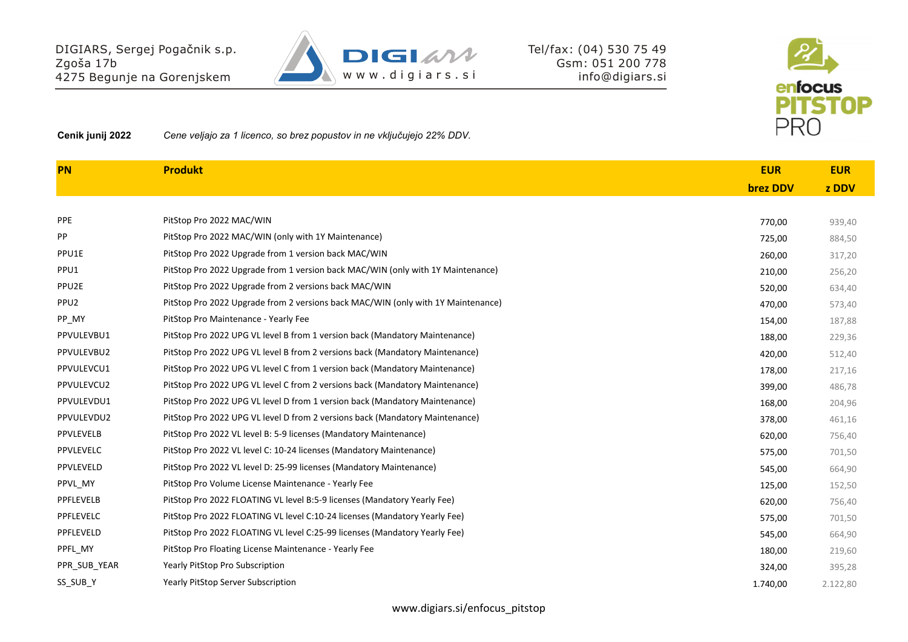

**Cenik junij 2022** *Cene veljajo za 1 licenco, so brez popustov in ne vključujejo 22% DDV.*

DIGIARS, Sergej Pogačnik s.p.

4275 Begunje na Gorenjskem

| <b>PN</b>        | <b>Produkt</b>                                                                   | <b>EUR</b>      | <b>EUR</b> |
|------------------|----------------------------------------------------------------------------------|-----------------|------------|
|                  |                                                                                  | <b>brez DDV</b> | z DDV      |
|                  |                                                                                  |                 |            |
| <b>PPE</b>       | PitStop Pro 2022 MAC/WIN                                                         | 770,00          | 939,40     |
| PP               | PitStop Pro 2022 MAC/WIN (only with 1Y Maintenance)                              | 725,00          | 884,50     |
| PPU1E            | PitStop Pro 2022 Upgrade from 1 version back MAC/WIN                             | 260,00          | 317,20     |
| PPU1             | PitStop Pro 2022 Upgrade from 1 version back MAC/WIN (only with 1Y Maintenance)  | 210,00          | 256,20     |
| PPU2E            | PitStop Pro 2022 Upgrade from 2 versions back MAC/WIN                            | 520,00          | 634,40     |
| PPU <sub>2</sub> | PitStop Pro 2022 Upgrade from 2 versions back MAC/WIN (only with 1Y Maintenance) | 470,00          | 573,40     |
| PP_MY            | PitStop Pro Maintenance - Yearly Fee                                             | 154,00          | 187,88     |
| PPVULEVBU1       | PitStop Pro 2022 UPG VL level B from 1 version back (Mandatory Maintenance)      | 188,00          | 229,36     |
| PPVULEVBU2       | PitStop Pro 2022 UPG VL level B from 2 versions back (Mandatory Maintenance)     | 420,00          | 512,40     |
| PPVULEVCU1       | PitStop Pro 2022 UPG VL level C from 1 version back (Mandatory Maintenance)      | 178,00          | 217,16     |
| PPVULEVCU2       | PitStop Pro 2022 UPG VL level C from 2 versions back (Mandatory Maintenance)     | 399,00          | 486,78     |
| PPVULEVDU1       | PitStop Pro 2022 UPG VL level D from 1 version back (Mandatory Maintenance)      | 168,00          | 204,96     |
| PPVULEVDU2       | PitStop Pro 2022 UPG VL level D from 2 versions back (Mandatory Maintenance)     | 378,00          | 461,16     |
| PPVLEVELB        | PitStop Pro 2022 VL level B: 5-9 licenses (Mandatory Maintenance)                | 620,00          | 756,40     |
| PPVLEVELC        | PitStop Pro 2022 VL level C: 10-24 licenses (Mandatory Maintenance)              | 575,00          | 701,50     |
| PPVLEVELD        | PitStop Pro 2022 VL level D: 25-99 licenses (Mandatory Maintenance)              | 545,00          | 664,90     |
| PPVL MY          | PitStop Pro Volume License Maintenance - Yearly Fee                              | 125,00          | 152,50     |
| PPFLEVELB        | PitStop Pro 2022 FLOATING VL level B:5-9 licenses (Mandatory Yearly Fee)         | 620,00          | 756,40     |
| PPFLEVELC        | PitStop Pro 2022 FLOATING VL level C:10-24 licenses (Mandatory Yearly Fee)       | 575,00          | 701,50     |
| PPFLEVELD        | PitStop Pro 2022 FLOATING VL level C:25-99 licenses (Mandatory Yearly Fee)       | 545,00          | 664,90     |
| PPFL MY          | PitStop Pro Floating License Maintenance - Yearly Fee                            | 180,00          | 219,60     |
| PPR SUB YEAR     | <b>Yearly PitStop Pro Subscription</b>                                           | 324,00          | 395,28     |
| SS SUB Y         | <b>Yearly PitStop Server Subscription</b>                                        | 1.740,00        | 2.122,80   |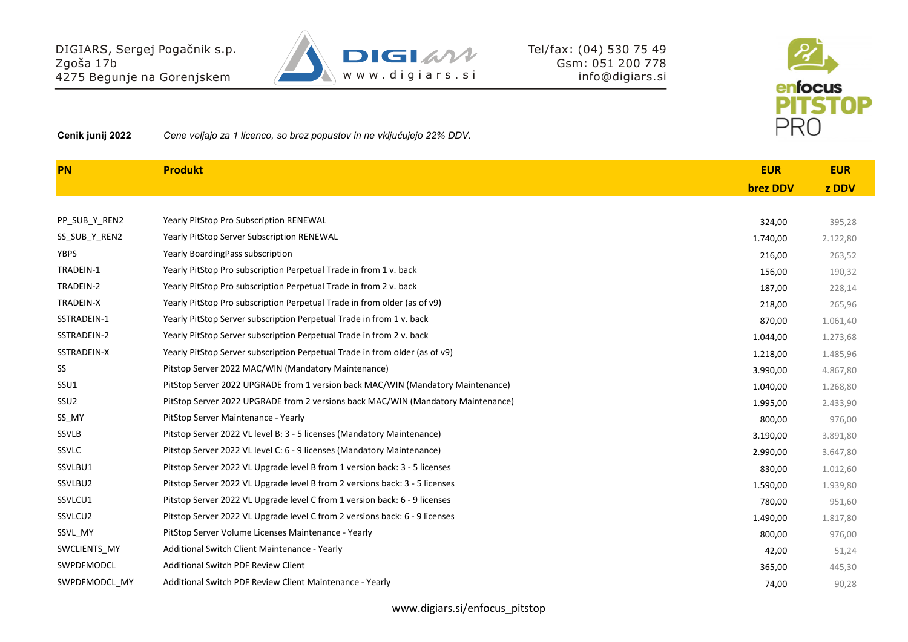

**Cenik junij 2022** *Cene veljajo za 1 licenco, so brez popustov in ne vključujejo 22% DDV.*

DIGIARS, Sergej Pogačnik s.p.

4275 Begunje na Gorenjskem

| <b>PN</b>        | <b>Produkt</b>                                                                   | <b>EUR</b>      | <b>EUR</b> |
|------------------|----------------------------------------------------------------------------------|-----------------|------------|
|                  |                                                                                  | <b>brez DDV</b> | z DDV      |
|                  |                                                                                  |                 |            |
| PP SUB Y REN2    | <b>Yearly PitStop Pro Subscription RENEWAL</b>                                   | 324,00          | 395,28     |
| SS_SUB_Y_REN2    | <b>Yearly PitStop Server Subscription RENEWAL</b>                                | 1.740,00        | 2.122,80   |
| <b>YBPS</b>      | Yearly BoardingPass subscription                                                 | 216,00          | 263,52     |
| TRADEIN-1        | Yearly PitStop Pro subscription Perpetual Trade in from 1 v. back                | 156,00          | 190,32     |
| TRADEIN-2        | Yearly PitStop Pro subscription Perpetual Trade in from 2 v. back                | 187,00          | 228,14     |
| TRADEIN-X        | Yearly PitStop Pro subscription Perpetual Trade in from older (as of v9)         | 218,00          | 265,96     |
| SSTRADEIN-1      | Yearly PitStop Server subscription Perpetual Trade in from 1 v. back             | 870,00          | 1.061,40   |
| SSTRADEIN-2      | Yearly PitStop Server subscription Perpetual Trade in from 2 v. back             | 1.044,00        | 1.273,68   |
| SSTRADEIN-X      | Yearly PitStop Server subscription Perpetual Trade in from older (as of v9)      | 1.218,00        | 1.485,96   |
| SS               | Pitstop Server 2022 MAC/WIN (Mandatory Maintenance)                              | 3.990,00        | 4.867,80   |
| SSU1             | PitStop Server 2022 UPGRADE from 1 version back MAC/WIN (Mandatory Maintenance)  | 1.040,00        | 1.268,80   |
| SSU <sub>2</sub> | PitStop Server 2022 UPGRADE from 2 versions back MAC/WIN (Mandatory Maintenance) | 1.995,00        | 2.433,90   |
| SS MY            | PitStop Server Maintenance - Yearly                                              | 800,00          | 976,00     |
| <b>SSVLB</b>     | Pitstop Server 2022 VL level B: 3 - 5 licenses (Mandatory Maintenance)           | 3.190,00        | 3.891,80   |
| <b>SSVLC</b>     | Pitstop Server 2022 VL level C: 6 - 9 licenses (Mandatory Maintenance)           | 2.990,00        | 3.647,80   |
| SSVLBU1          | Pitstop Server 2022 VL Upgrade level B from 1 version back: 3 - 5 licenses       | 830,00          | 1.012,60   |
| SSVLBU2          | Pitstop Server 2022 VL Upgrade level B from 2 versions back: 3 - 5 licenses      | 1.590,00        | 1.939,80   |
| SSVLCU1          | Pitstop Server 2022 VL Upgrade level C from 1 version back: 6 - 9 licenses       | 780,00          | 951,60     |
| SSVLCU2          | Pitstop Server 2022 VL Upgrade level C from 2 versions back: 6 - 9 licenses      | 1.490,00        | 1.817,80   |
| SSVL_MY          | PitStop Server Volume Licenses Maintenance - Yearly                              | 800,00          | 976,00     |
| SWCLIENTS MY     | Additional Switch Client Maintenance - Yearly                                    | 42,00           | 51,24      |
| SWPDFMODCL       | Additional Switch PDF Review Client                                              | 365,00          | 445,30     |
| SWPDFMODCL MY    | Additional Switch PDF Review Client Maintenance - Yearly                         | 74,00           | 90,28      |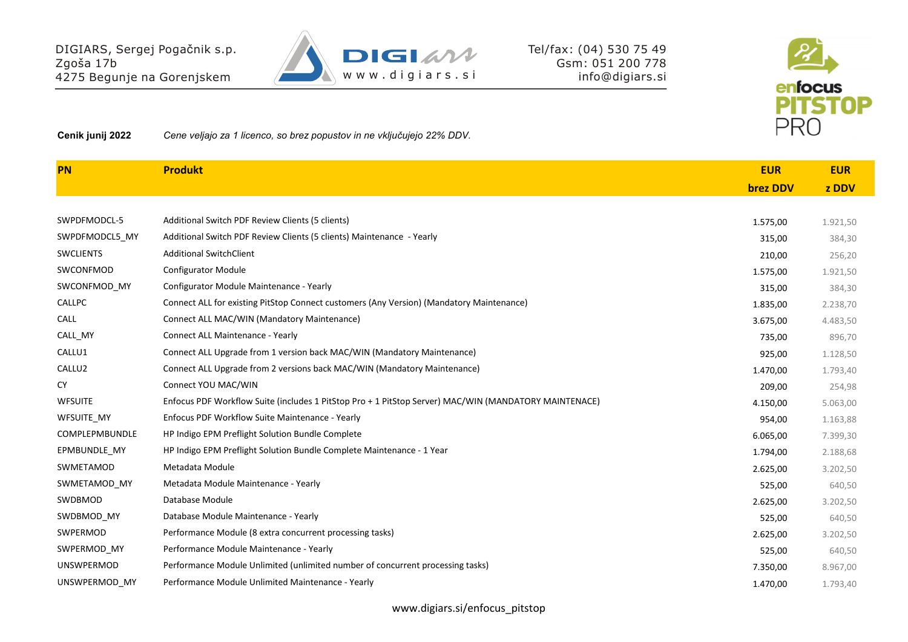

**Cenik junij 2022** *Cene veljajo za 1 licenco, so brez popustov in ne vključujejo 22% DDV.*

DIGIARS, Sergej Pogačnik s.p.

4275 Begunje na Gorenjskem

| <b>PN</b>          | <b>Produkt</b>                                                                                        | <b>EUR</b>      | <b>EUR</b> |
|--------------------|-------------------------------------------------------------------------------------------------------|-----------------|------------|
|                    |                                                                                                       | <b>brez DDV</b> | z DDV      |
|                    |                                                                                                       |                 |            |
| SWPDFMODCL-5       | Additional Switch PDF Review Clients (5 clients)                                                      | 1.575,00        | 1.921,50   |
| SWPDFMODCL5 MY     | Additional Switch PDF Review Clients (5 clients) Maintenance - Yearly                                 | 315,00          | 384,30     |
| <b>SWCLIENTS</b>   | <b>Additional SwitchClient</b>                                                                        | 210,00          | 256,20     |
| SWCONFMOD          | <b>Configurator Module</b>                                                                            | 1.575,00        | 1.921,50   |
| SWCONFMOD_MY       | Configurator Module Maintenance - Yearly                                                              | 315,00          | 384,30     |
| <b>CALLPC</b>      | Connect ALL for existing PitStop Connect customers (Any Version) (Mandatory Maintenance)              | 1.835,00        | 2.238,70   |
| CALL               | Connect ALL MAC/WIN (Mandatory Maintenance)                                                           | 3.675,00        | 4.483,50   |
| CALL MY            | Connect ALL Maintenance - Yearly                                                                      | 735,00          | 896,70     |
| CALLU1             | Connect ALL Upgrade from 1 version back MAC/WIN (Mandatory Maintenance)                               | 925,00          | 1.128,50   |
| CALLU <sub>2</sub> | Connect ALL Upgrade from 2 versions back MAC/WIN (Mandatory Maintenance)                              | 1.470,00        | 1.793,40   |
| <b>CY</b>          | Connect YOU MAC/WIN                                                                                   | 209,00          | 254,98     |
| <b>WFSUITE</b>     | Enfocus PDF Workflow Suite (includes 1 PitStop Pro + 1 PitStop Server) MAC/WIN (MANDATORY MAINTENACE) | 4.150,00        | 5.063,00   |
| <b>WFSUITE MY</b>  | Enfocus PDF Workflow Suite Maintenance - Yearly                                                       | 954,00          | 1.163,88   |
| COMPLEPMBUNDLE     | HP Indigo EPM Preflight Solution Bundle Complete                                                      | 6.065,00        | 7.399,30   |
| EPMBUNDLE MY       | HP Indigo EPM Preflight Solution Bundle Complete Maintenance - 1 Year                                 | 1.794,00        | 2.188,68   |
| SWMETAMOD          | Metadata Module                                                                                       | 2.625,00        | 3.202,50   |
| SWMETAMOD MY       | Metadata Module Maintenance - Yearly                                                                  | 525,00          | 640,50     |
| SWDBMOD            | Database Module                                                                                       | 2.625,00        | 3.202,50   |
| SWDBMOD MY         | Database Module Maintenance - Yearly                                                                  | 525,00          | 640,50     |
| SWPERMOD           | Performance Module (8 extra concurrent processing tasks)                                              | 2.625,00        | 3.202,50   |
| SWPERMOD_MY        | Performance Module Maintenance - Yearly                                                               | 525,00          | 640,50     |
| <b>UNSWPERMOD</b>  | Performance Module Unlimited (unlimited number of concurrent processing tasks)                        | 7.350,00        | 8.967,00   |
| UNSWPERMOD MY      | Performance Module Unlimited Maintenance - Yearly                                                     | 1.470,00        | 1.793,40   |